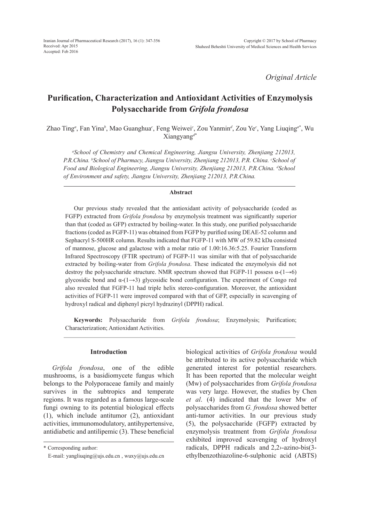*Original Article*

# **Purification, Characterization and Antioxidant Activities of Enzymolysis Polysaccharide from** *Grifola frondosa*

Zhao Ting*<sup>a</sup>* , Fan Yina*<sup>b</sup>* , Mao Guanghua*<sup>c</sup>* , Feng Weiwei*<sup>c</sup>* , Zou Yanmin*<sup>d</sup>* , Zou Ye*<sup>c</sup>* , Yang Liuqing*<sup>a</sup>*\* , Wu Xiangyang*<sup>d</sup>*\*

*a School of Chemistry and Chemical Engineering, Jiangsu University, Zhenjiang 212013, P.R.China. b School of Pharmacy, Jiangsu University, Zhenjiang 212013, P.R. China. c School of*  Food and Biological Engineering, Jiangsu University, Zhenjiang 212013, P.R.China. <sup>d</sup>School *of Environment and safety, Jiangsu University, Zhenjiang 212013, P.R.China.*

#### **Abstract**

Our previous study revealed that the antioxidant activity of polysaccharide (coded as FGFP) extracted from *Grifola frondosa* by enzymolysis treatment was significantly superior than that (coded as GFP) extracted by boiling-water. In this study, one purified polysaccharide fractions (coded as FGFP-11) was obtained from FGFP by purified using DEAE-52 column and Sephacryl S-500HR column. Results indicated that FGFP-11 with MW of 59.82 kDa consisted of mannose, glucose and galactose with a molar ratio of 1.00:16.36:5.25. Fourier Transform Infrared Spectroscopy (FTIR spectrum) of FGFP-11 was similar with that of polysaccharide extracted by boiling-water from *Grifola frondosa*. These indicated the enzymolysis did not destroy the polysaccharide structure. NMR spectrum showed that FGFP-11 possess  $\alpha$ -(1→6) glycosidic bond and  $\alpha$ -(1→3) glycosidic bond configuration. The experiment of Congo red also revealed that FGFP-11 had triple helix stereo-configuration. Moreover, the antioxidant activities of FGFP-11 were improved compared with that of GFP, especially in scavenging of hydroxyl radical and diphenyl picryl hydrazinyl (DPPH) radical.

**Keywords:** Polysaccharide from *Grifola frondosa*; Enzymolysis; Purification; Characterization; Antioxidant Activities.

# **Introduction**

*Grifola frondosa*, one of the edible mushrooms, is a basidiomycete fungus which belongs to the Polyporaceae family and mainly survives in the subtropics and temperate regions. It was regarded as a famous large-scale fungi owning to its potential biological effects (1), which include antitumor (2), antioxidant activities, immunomodulatory, antihypertensive, antidiabetic and antilipemic (3). These beneficial biological activities of *Grifola frondosa* would be attributed to its active polysaccharide which generated interest for potential researchers. It has been reported that the molecular weight (Mw) of polysaccharides from *Grifola frondosa*  was very large. However, the studies by Chen *et al*. (4) indicated that the lower Mw of polysaccharides from *G. frondosa* showed better anti-tumor activities. In our previous study (5), the polysaccharide (FGFP) extracted by enzymolysis treatment from *Grifola frondosa*  exhibited improved scavenging of hydroxyl radicals, DPPH radicals and 2,2›-azino-bis(3 ethylbenzothiazoline-6-sulphonic acid (ABTS)

<sup>\*</sup> Corresponding author:

E-mail: yangliuqing@ujs.edu.cn , wuxy@ujs.edu.cn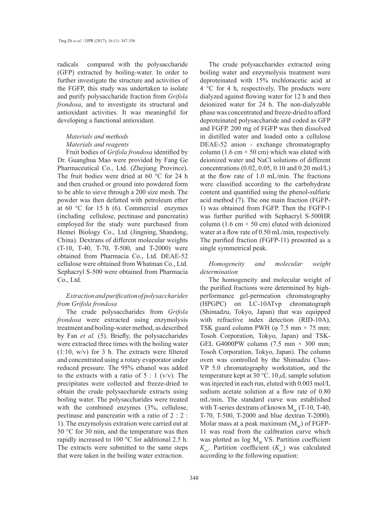radicals compared with the polysaccharide (GFP) extracted by boiling-water. In order to further investigate the structure and activities of the FGFP, this study was undertaken to isolate and purify polysaccharide fraction from *Grifola frondosa*, and to investigate its structural and antioxidant activities. It was meaningful for developing a functional antioxidant.

# *Materials and methods Materials and reagents*

Fruit bodies of *Grifola frondosa* identified by Dr. Guanghua Mao were provided by Fang Ge Pharmaceutical Co., Ltd. (Zhejiang Province). The fruit bodies were dried at 60 °C for 24 h and then crushed or ground into powdered form to be able to sieve through a 200 size mesh. The powder was then defatted with petroleum ether at 60 °C for 15 h (6). Commercial enzymes (including cellulose, pectinase and pancreatin) employed for the study were purchased from Hemei Biology Co., Ltd (Jingning, Shandong, China). Dextrans of different molecular weights (T-10, T-40, T-70, T-500, and T-2000) were obtained from Pharmacia Co., Ltd. DEAE-52 cellulose were obtained from Whatman Co., Ltd. Sephacryl S-500 were obtained from Pharmacia Co., Ltd.

# *Extraction and purification of polysaccharides from Grifola frondosa*

The crude polysaccharides from *Grifola frondosa* were extracted using enzymolysis treatment and boiling-water method, as described by Fan *et al.* (5). Briefly, the polysaccharides were extracted three times with the boiling water  $(1:10, w/v)$  for 3 h. The extracts were filtered and concentrated using a rotary evaporator under reduced pressure. The 95% ethanol was added to the extracts with a ratio of  $5 : 1$  (v/v). The precipitates were collected and freeze-dried to obtain the crude polysaccharide extracts using boiling water. The polysaccharides were treated with the combined enzymes (3%, cellulose, pectinase and pancreatin with a ratio of 2 : 2 : 1). The enzymolysis extration were carried out at 50 °C for 30 min, and the temperature was then rapidly increased to 100 °C for additional 2.5 h. The extracts were submitted to the same steps that were taken in the boiling water extraction.

The crude polysaccharides extracted using boiling water and enzymolysis treatment were deproteinated with 15% trichloracetic acid at 4 °C for 4 h, respectively. The products were dialyzed against flowing water for 12 h and then deionized water for 24 h. The non-dialyzable phase was concentrated and freeze-dried to afford deproteinated polysaccharide and coded as GFP and FGFP. 200 mg of FGFP was then dissolved in distilled water and loaded onto a cellulose DEAE-52 anion - exchange chromatography column (1.6 cm  $\times$  50 cm) which was eluted with deionized water and NaCl solutions of different concentrations (0.02, 0.05, 0.10 and 0.20 mol/L) at the flow rate of 1.0 mL/min. The fractions were classified according to the carbohydrate content and quantified using the phenol-sulfuric acid method (7). The one main fraction (FGFP-1) was obtained from FGFP. Then the FGFP-1 was further purified with Sephacryl S-500HR column (1.6 cm  $\times$  50 cm) eluted with deionized water at a flow rate of 0.50 mL/min, respectively. The purified fraction (FGFP-11) presented as a single symmetrical peak.

*Homogeneity and molecular weight determination*

The homogeneity and molecular weight of the purified fractions were determined by highperformance gel-permeation chromatography (HPGPC) on LC-10ATvp chromatograph (Shimadzu, Tokyo, Japan) that was equipped with refractive index detection (RID-10A), TSK guard column PWH ( $\varphi$  7.5 mm  $\times$  75 mm; Tosoh Corporation, Tokyo, Japan) and TSK-GEL G4000PW column  $(7.5 \text{ mm} \times 300 \text{ mm})$ ; Tosoh Corporation, Tokyo, Japan). The column oven was controlled by the Shimadzu Class-VP 5.0 chromatography workstation, and the temperature kept at 30 °C. 10 *μ*L sample solution was injected in each run, eluted with 0.003 mol/L sodium acetate solution at a flow rate of 0.80 mL/min. The standard curve was established with T-series dextrans of known  $M_{\text{w}}$  (T-10, T-40, T-70, T-500, T-2000 and blue dextran T-2000). Molar mass at a peak maximum  $(M_w)$  of FGFP-11 was read from the calibration curve which was plotted as  $\log M_w$  VS. Partition coefficient  $K_{\ldots}$  Partition coefficient  $(K_{\ldots})$  was calculated according to the following equation: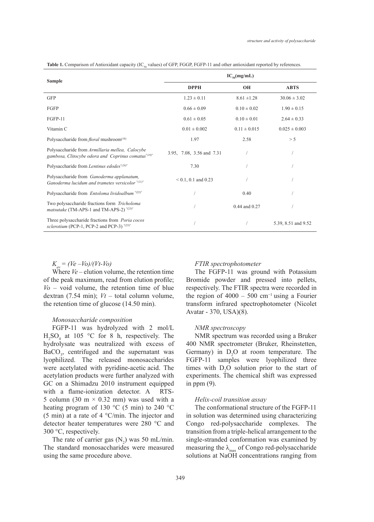| <b>Sample</b>                                                                                                      | $IC_{\rm so}(mg/mL)$      |                   |                     |
|--------------------------------------------------------------------------------------------------------------------|---------------------------|-------------------|---------------------|
|                                                                                                                    | <b>DPPH</b>               | <b>OH</b>         | <b>ABTS</b>         |
| <b>GFP</b>                                                                                                         | $1.23 \pm 0.11$           | $8.61 \pm 1.28$   | $30.06 \pm 3.02$    |
| FGFP                                                                                                               | $0.66 \pm 0.09$           | $0.10 \pm 0.02$   | $1.90 \pm 0.15$     |
| FGFP-11                                                                                                            | $0.61 \pm 0.05$           | $0.10 \pm 0.01$   | $2.64 \pm 0.33$     |
| Vitamin C                                                                                                          | $0.01 \pm 0.002$          | $0.11 \pm 0.015$  | $0.025 \pm 0.003$   |
| Polysaccharide from <i>floral</i> mushroom <sup>(18)</sup>                                                         | 1.97                      | 2.58              | > 5                 |
| Polysaccharide from Armillaria mellea, Calocybe<br>gambosa, Clitocybe odora and Coprinus comatus" <sup>(19)"</sup> | 3.95, 7.08, 3.56 and 7.31 |                   |                     |
| Polysaccharide from Lentinus edodes"(20)"                                                                          | 7.30                      |                   |                     |
| Polysaccharide from Ganoderma applanatum,<br>Ganoderma lucidum and trametes versicolor "(21)"                      | $< 0.1, 0.1$ and 0.23     |                   |                     |
| Polysaccharide from Entoloma lividoalbum "(22)"                                                                    |                           | 0.40              |                     |
| Two polysaccharide fractions form Tricholoma<br><i>matsutake</i> (TM-APS-1 and TM-APS-2) "(23)"                    |                           | $0.44$ and $0.27$ |                     |
| Three polysaccharide fractions from <i>Poria cocos</i><br>sclerotium (PCP-1, PCP-2 and PCP-3) "(25)"               |                           |                   | 5.39, 8.51 and 9.52 |

Table 1. Comparison of Antioxidant capacity (IC<sub>50</sub> values) of GFP, FGGP, FGFP-11 and other antioxidant reported by references.

 $K_{av} = (Ve - V_0)/(Vt-V_0)$ 

Where *Ve –* elution volume, the retention time of the peak maximum, read from elution profile;  $V_0$  – void volume, the retention time of blue dextran (7.54 min); *Vt –* total column volume, the retention time of glucose (14.50 min).

#### *Monosaccharide composition*

FGFP-11 was hydrolyzed with 2 mol/L  $H_2SO_4$  at 105 °C for 8 h, respectively. The hydrolysate was neutralized with excess of  $BaCO<sub>3</sub>$ , centrifuged and the supernatant was lyophilized. The released monosaccharides were acetylated with pyridine-acetic acid. The acetylation products were further analyzed with GC on a Shimadzu 2010 instrument equipped with a flame-ionization detector. A RTS-5 column (30 m  $\times$  0.32 mm) was used with a heating program of 130  $^{\circ}$ C (5 min) to 240  $^{\circ}$ C (5 min) at a rate of 4 °C/min. The injector and detector heater temperatures were 280 °C and 300 °C, respectively.

The rate of carrier gas  $(N_2)$  was 50 mL/min. The standard monosaccharides were measured using the same procedure above.

#### *FTIR spectrophotometer*

The FGFP-11 was ground with Potassium Bromide powder and pressed into pellets, respectively. The FTIR spectra were recorded in the region of  $4000 - 500$  cm<sup>-1</sup> using a Fourier transform infrared spectrophotometer (Nicolet Avatar - 370, USA)(8).

#### *NMR spectroscopy*

NMR spectrum was recorded using a Bruker 400 NMR spectrometer (Bruker, Rheinstetten, Germany) in  $D_2O$  at room temperature. The FGFP-11 samples were lyophilized three times with  $D_2O$  solution prior to the start of experiments. The chemical shift was expressed in ppm (9).

## *Helix-coil transition assay*

The conformational structure of the FGFP-11 in solution was determined using characterizing Congo red-polysaccharide complexes. The transition from a triple-helical arrangement to the single-stranded conformation was examined by measuring the  $\lambda_{\text{max}}$  of Congo red-polysaccharide solutions at NaOH concentrations ranging from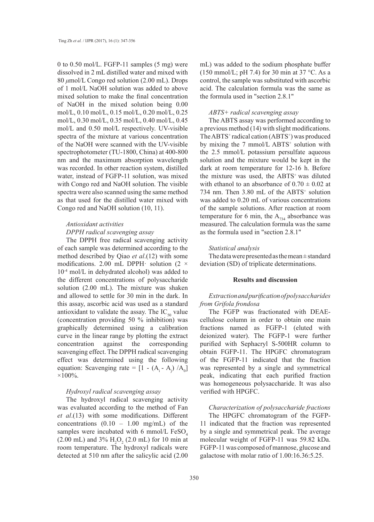0 to 0.50 mol/L. FGFP-11 samples (5 mg) were dissolved in 2 mL distilled water and mixed with 80 *μ*mol/L Congo red solution (2.00 mL). Drops of 1 mol/L NaOH solution was added to above mixed solution to make the final concentration of NaOH in the mixed solution being 0.00 mol/L, 0.10 mol/L, 0.15 mol/L, 0.20 mol/L, 0.25 mol/L, 0.30 mol/L, 0.35 mol/L, 0.40 mol/L, 0.45 mol/L and 0.50 mol/L respectively. UV-visible spectra of the mixture at various concentration of the NaOH were scanned with the UV-visible spectrophotometer (TU-1800, China) at 400-800 nm and the maximum absorption wavelength was recorded. In other reaction system, distilled water, instead of FGFP-11 solution, was mixed with Congo red and NaOH solution. The visible spectra were also scanned using the same method as that used for the distilled water mixed with Congo red and NaOH solution (10, 11).

# *Antioxidant activities*

# *DPPH radical scavenging assay*

The DPPH free radical scavenging activity of each sample was determined according to the method described by Qiao *et al*.(12) with some modifications. 2.00 mL DPPH $\cdot$  solution (2  $\times$ 10-4 mol/L in dehydrated alcohol) was added to the different concentrations of polysaccharide solution (2.00 mL). The mixture was shaken and allowed to settle for 30 min in the dark. In this assay, ascorbic acid was used as a standard antioxidant to validate the assay. The  $IC_{50}$  value (concentration providing 50 % inhibition) was graphically determined using a calibration curve in the linear range by plotting the extract concentration against the corresponding scavenging effect. The DPPH radical scavenging effect was determined using the following equation: Scavenging rate =  $[1 - (A_i - A_j) / A_0]$  $\times100\%$ .

# *Hydroxyl radical scavenging assay*

The hydroxyl radical scavenging activity was evaluated according to the method of Fan *et al*.(13) with some modifications. Different concentrations (0.10 – 1.00 mg/mL) of the samples were incubated with 6 mmol/L  $FeSO<sub>4</sub>$  $(2.00 \text{ mL})$  and  $3\% \text{ H}_2\text{O}_2$  (2.0 mL) for 10 min at room temperature. The hydroxyl radicals were detected at 510 nm after the salicylic acid (2.00

mL) was added to the sodium phosphate buffer (150 mmol/L; pH 7.4) for 30 min at  $37^{\circ}$ C. As a control, the sample was substituted with ascorbic acid. The calculation formula was the same as the formula used in "section 2.8.1"

#### *ABTS+ radical scavenging assay*

The ABTS assay was performed according to a previous method (14) with slight modifications. The ABTS<sup>+</sup> radical cation  $(ABTS^+)$  was produced by mixing the 7 mmol/L ABTS<sup>+</sup> solution with the 2.5 mmol/L potassium persulfate aqueous solution and the mixture would be kept in the dark at room temperature for 12-16 h. Before the mixture was used, the ABTS<sup>+</sup> was diluted with ethanol to an absorbance of  $0.70 \pm 0.02$  at 734 nm. Then 3.80 mL of the ABTS<sup>+</sup> solution was added to 0.20 mL of various concentrations of the sample solutions. After reaction at room temperature for 6 min, the  $A_{734}$  absorbance was measured. The calculation formula was the same as the formula used in "section 2.8.1"

## *Statistical analysis*

The data were presented as the mean ± standard deviation (SD) of triplicate determinations.

## **Results and discussion**

# *Extraction and purification of polysaccharides from Grifola frondosa*

The FGFP was fractionated with DEAEcellulose column in order to obtain one main fractions named as FGFP-1 (eluted with deionized water). The FGFP-1 were further purified with Sephacryl S-500HR column to obtain FGFP-11. The HPGFC chromatogram of the FGFP-11 indicated that the fraction was represented by a single and symmetrical peak, indicating that each purified fraction was homogeneous polysaccharide. It was also verified with HPGFC.

# *Characterization of polysaccharide fractions*

The HPGFC chromatogram of the FGFP-11 indicated that the fraction was represented by a single and symmetrical peak. The average molecular weight of FGFP-11 was 59.82 kDa. FGFP-11 was composed of mannose, glucose and galactose with molar ratio of 1.00:16.36:5.25.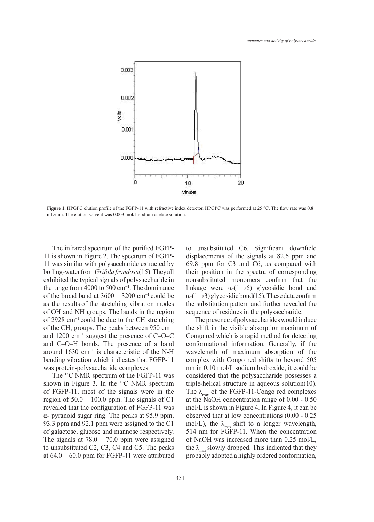

Figure 1. HPGPC elution profile of the FGFP-11 with refractive index detector. HPGPC was performed at 25 °C. The flow rate was 0.8 mL/min. The elution solvent was 0.003 mol/L sodium acetate solution.

The infrared spectrum of the purified FGFP-11 is shown in Figure 2. The spectrum of FGFP-11 was similar with polysaccharide extracted by boiling-water from *Grifola frondosa*(15). They all exhibited the typical signals of polysaccharide in the range from 4000 to 500 cm−1. The dominance of the broad band at 3600 – 3200 cm−1 could be as the results of the stretching vibration modes of OH and NH groups. The bands in the region of 2928 cm−1 could be due to the CH stretching of the CH<sub>2</sub> groups. The peaks between 950 cm<sup>-1</sup> and 1200 cm−1 suggest the presence of C–O–C and C–O–H bonds. The presence of a band around 1630 cm−1 is characteristic of the N-H bending vibration which indicates that FGFP-11 was protein-polysaccharide complexes.

The <sup>13</sup>C NMR spectrum of the FGFP-11 was shown in Figure 3. In the <sup>13</sup>C NMR spectrum of FGFP-11, most of the signals were in the region of  $50.0 - 100.0$  ppm. The signals of C1 revealed that the configuration of FGFP-11 was α- pyranoid sugar ring. The peaks at 95.9 ppm, 93.3 ppm and 92.1 ppm were assigned to the C1 of galactose, glucose and mannose respectively. The signals at  $78.0 - 70.0$  ppm were assigned to unsubstituted C2, C3, C4 and C5. The peaks at  $64.0 - 60.0$  ppm for FGFP-11 were attributed to unsubstituted C6. Significant downfield displacements of the signals at 82.6 ppm and 69.8 ppm for C3 and C6, as compared with their position in the spectra of corresponding nonsubstituted monomers confirm that the linkage were  $\alpha$ -(1→6) glycosidic bond and  $\alpha$ -(1→3) glycosidic bond(15). These data confirm the substitution pattern and further revealed the sequence of residues in the polysaccharide.

The presence of polysaccharides would induce the shift in the visible absorption maximum of Congo red which is a rapid method for detecting conformational information. Generally, if the wavelength of maximum absorption of the complex with Congo red shifts to beyond 505 nm in 0.10 mol/L sodium hydroxide, it could be considered that the polysaccharide possesses a triple-helical structure in aqueous solution(10). The  $\lambda_{\text{max}}$  of the FGFP-11-Congo red complexes at the NaOH concentration range of 0.00 - 0.50 mol/L is shown in Figure 4. In Figure 4, it can be observed that at low concentrations (0.00 - 0.25 mol/L), the  $\lambda_{\text{max}}$  shift to a longer wavelength, 514 nm for FGFP-11. When the concentration of NaOH was increased more than 0.25 mol/L, the  $\lambda$ <sub>m</sub> slowly dropped. This indicated that they probably adopted a highly ordered conformation,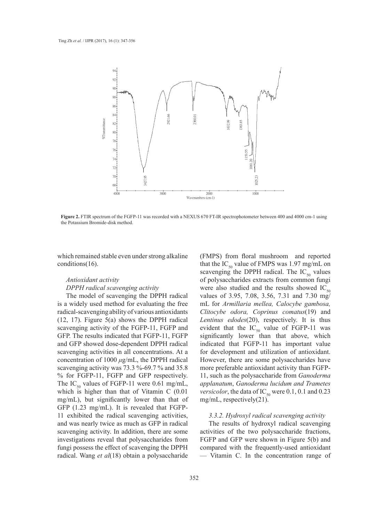

**Figure 2.** FTIR spectrum of the FGFP-11 was recorded with a NEXUS 670 FT-IR spectrophotometer between 400 and 4000 cm-1 using the Potassium Bromide-disk method.

which remained stable even under strong alkaline conditions(16).

#### *Antioxidant activity*

#### *DPPH radical scavenging activity*

The model of scavenging the DPPH radical is a widely used method for evaluating the free radical-scavenging ability of various antioxidants (12, 17). Figure 5(a) shows the DPPH radical scavenging activity of the FGFP-11, FGFP and GFP. The results indicated that FGFP-11, FGFP and GFP showed dose-dependent DPPH radical scavenging activities in all concentrations. At a concentration of 1000 *μ*g/mL, the DPPH radical scavenging activity was 73.3 %-69.7 % and 35.8 % for FGFP-11, FGFP and GFP respectively. The IC<sub>50</sub> values of FGFP-11 were 0.61 mg/mL, which is higher than that of Vitamin C (0.01 mg/mL), but significantly lower than that of mg/mL, GFP (1.23 mg/mL). It is revealed that FGFP-11 exhibited the radical scavenging activities, and was nearly twice as much as GFP in radical scavenging activity. In addition, there are some investigations reveal that polysaccharides from fungi possess the effect of scavenging the DPPH radical. Wang *et al*(18) obtain a polysaccharide

(FMPS) from floral mushroom and reported that the  $IC_{50}$  value of FMPS was 1.97 mg/mL on scavenging the DPPH radical. The  $IC_{50}$  values of polysaccharides extracts from common fungi were also studied and the results showed  $IC_{50}$ values of 3.95, 7.08, 3.56, 7.31 and 7.30 mg/ mL for *Armillaria mellea, Calocybe gambosa, Clitocybe odora, Coprinus comatus*(19) and *Lentinus edodes*(20), respectively. It is thus evident that the  $IC_{50}$  value of FGFP-11 was significantly lower than that above, which indicated that FGFP-11 has important value for development and utilization of antioxidant. However, there are some polysaccharides have more preferable antioxidant activity than FGFP-11, such as the polysaccharide from *Ganoderma applanatum*, *Ganoderma lucidum and Trametes versicolor*, the data of  $IC_{50}$  were 0.1, 0.1 and 0.23 mg/mL, respectively(21).

# *3.3.2. Hydroxyl radical scavenging activity*

The results of hydroxyl radical scavenging activities of the two polysaccharide fractions, FGFP and GFP were shown in Figure 5(b) and compared with the frequently-used antioxidant — Vitamin C. In the concentration range of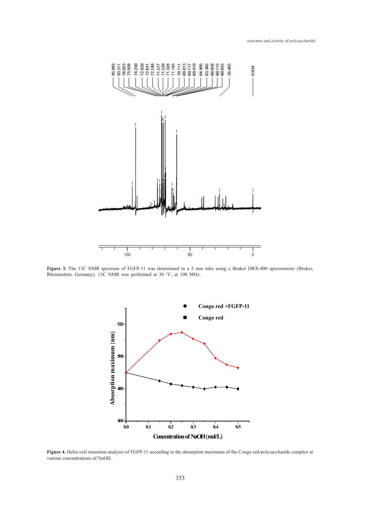

**Figure 3.** The 13C NMR spectrum of FGFP-11 was determined in a 5 mm tube using a Bruker DRX-400 spectrometer (Bruker, Rheinstetten, Germany). 13C NMR was performed at 30 °C, at 100 MHz.



**Figure 4.** Helix-coil transition analysis of FGFP-11 according to the absorption maximum of the Congo red-polysaccharide complex at various concentrations of NaOH.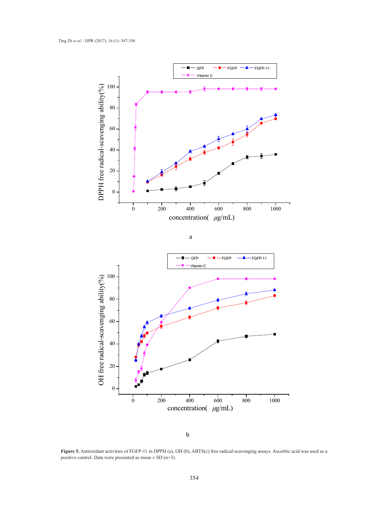

b

**Figure 5.** Antioxidant activities of FGFP-11 in DPPH (a), OH (b), ABTS(c) free radical-scavenging assays. Ascorbic acid was used as a positive control. Data were presented as mean  $\pm$  SD (n=3).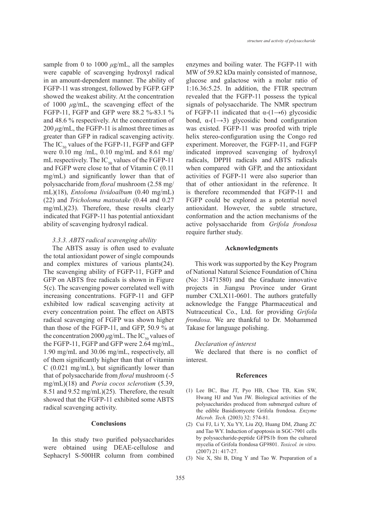sample from 0 to 1000 *μ*g/mL, all the samples were capable of scavenging hydroxyl radical in an amount-dependent manner. The ability of FGFP-11 was strongest, followed by FGFP. GFP showed the weakest ability. At the concentration of 1000 *μ*g/mL, the scavenging effect of the FGFP-11, FGFP and GFP were 88.2 %-83.1 % and 48.6 % respectively. At the concentration of  $200 \mu g/mL$ , the FGFP-11 is almost three times as greater than GFP in radical scavenging activity. The  $IC_{50}$  values of the FGFP-11, FGFP and GFP were 0.10 mg /mL, 0.10 mg/mL and 8.61 mg/ mL respectively. The  $IC_{50}$  values of the FGFP-11 and FGFP were close to that of Vitamin C (0.11 mg/mL) and significantly lower than that of polysaccharide from *floral* mushroom (2.58 mg/ mL)(18), *Entoloma lividoalbum* (0.40 mg/mL) (22) and *Tricholoma matsutake* (0.44 and 0.27 mg/mL)(23). Therefore, these results clearly indicated that FGFP-11 has potential antioxidant ability of scavenging hydroxyl radical.

# *3.3.3. ABTS radical scavenging ability*

The ABTS assay is often used to evaluate the total antioxidant power of single compounds and complex mixtures of various plants(24). The scavenging ability of FGFP-11, FGFP and GFP on ABTS free radicals is shown in Figure 5(c). The scavenging power correlated well with increasing concentrations. FGFP-11 and GFP exhibited low radical scavenging activity at every concentration point. The effect on ABTS radical scavenging of FGFP was shown higher than those of the FGFP-11, and GFP, 50.9 % at the concentration  $2000 \mu g/mL$ . The IC<sub>50</sub> values of the FGFP-11, FGFP and GFP were 2.64 mg/mL, 1.90 mg/mL and 30.06 mg/mL, respectively, all of them significantly higher than that of vitamin C (0.021 mg/mL), but significantly lower than that of polysaccharide from *floral* mushroom (-5 mg/mL)(18) and *Poria cocos sclerotium* (5.39, 8.51 and 9.52 mg/mL)(25). Therefore, the result showed that the FGFP-11 exhibited some ABTS radical scavenging activity.

# **Conclusions**

In this study two purified polysaccharides were obtained using DEAE-cellulose and Sephacryl S-500HR column from combined

enzymes and boiling water. The FGFP-11 with MW of 59.82 kDa mainly consisted of mannose, glucose and galactose with a molar ratio of 1:16.36:5.25. In addition, the FTIR spectrum revealed that the FGFP-11 possess the typical signals of polysaccharide. The NMR spectrum of FGFP-11 indicated that  $\alpha$ -(1→6) glycosidic bond,  $\alpha$ -(1→3) glycosidic bond configuration was existed. FGFP-11 was proofed with triple helix stereo-configuration using the Congo red experiment. Moreover, the FGFP-11, and FGFP indicated improved scavenging of hydroxyl radicals, DPPH radicals and ABTS radicals when compared with GFP, and the antioxidant activities of FGFP-11 were also superior than that of other antioxidant in the reference. It is therefore recommended that FGFP-11 and FGFP could be explored as a potential novel antioxidant. However, the subtle structure, conformation and the action mechanisms of the active polysaccharide from *Grifola frondosa* require further study.

#### **Acknowledgments**

This work was supported by the Key Program of National Natural Science Foundation of China (No: 31471580) and the Graduate innovative projects in Jiangsu Province under Grant number CXLX11-0601. The authors gratefully acknowledge the Fangge Pharmaceutical and Nutraceutical Co., Ltd. for providing *Grifola frondosa*. We are thankful to Dr. Mohammed Takase for language polishing.

#### *Declaration of interest*

We declared that there is no conflict of interest.

#### **References**

- Lee BC, Bae JT, Pyo HB, Choe TB, Kim SW, (1) Hwang HJ and Yun JW. Biological activities of the polysaccharides produced from submerged culture of the edible Basidiomycete Grifola frondosa. *Enzyme Microb. Tech.* (2003) 32: 574-81.
- Cui FJ, Li Y, Xu YY, Liu ZQ, Huang DM, Zhang ZC (2) and Tao WY. Induction of apoptosis in SGC-7901 cells by polysaccharide-peptide GFPS1b from the cultured mycelia of Grifola frondosa GF9801. *Toxicol. in vitro.* (2007) 21: 417-27.
- $(3)$  Nie X, Shi B, Ding Y and Tao W. Preparation of a